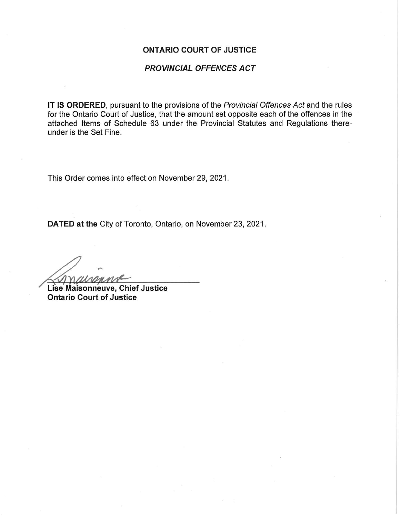## ONTARIO COURT OF JUSTICE

## PROVINCIAL OFFENCES ACT

IT IS ORDERED, pursuant to the provisions of the Provincial Offences Act and the rules for the Ontario Court of Justice, that the amount set opposite each of the offences in the attached Items of Schedule 63 under the Provincial Statutes and Regulations thereunder is the Set Fine.

This Order comes into effect on November 29, 2021.

DATED at the City of Toronto, Ontario, on November 23, 2021.

Lise Maisonneuve, Chief Justice Ontario Court of Justice